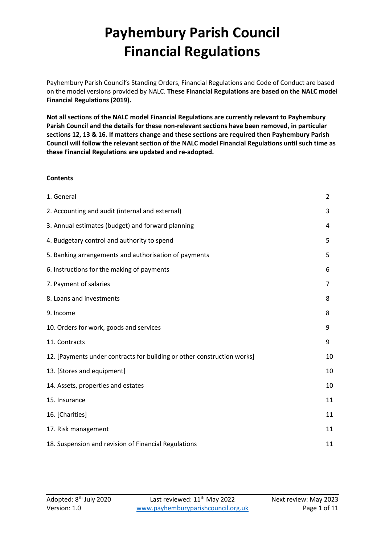Payhembury Parish Council's Standing Orders, Financial Regulations and Code of Conduct are based on the model versions provided by NALC. **These Financial Regulations are based on the NALC model Financial Regulations (2019).** 

**Not all sections of the NALC model Financial Regulations are currently relevant to Payhembury Parish Council and the details for these non-relevant sections have been removed, in particular sections 12, 13 & 16. If matters change and these sections are required then Payhembury Parish Council will follow the relevant section of the NALC model Financial Regulations until such time as these Financial Regulations are updated and re-adopted.**

#### **Contents**

| 1. General                                                              | $\overline{2}$ |
|-------------------------------------------------------------------------|----------------|
| 2. Accounting and audit (internal and external)                         | 3              |
| 3. Annual estimates (budget) and forward planning                       | 4              |
| 4. Budgetary control and authority to spend                             | 5              |
| 5. Banking arrangements and authorisation of payments                   | 5              |
| 6. Instructions for the making of payments                              | 6              |
| 7. Payment of salaries                                                  | 7              |
| 8. Loans and investments                                                | 8              |
| 9. Income                                                               | 8              |
| 10. Orders for work, goods and services                                 | 9              |
| 11. Contracts                                                           | 9              |
| 12. [Payments under contracts for building or other construction works] | 10             |
| 13. [Stores and equipment]                                              | 10             |
| 14. Assets, properties and estates                                      | 10             |
| 15. Insurance                                                           | 11             |
| 16. [Charities]                                                         | 11             |
| 17. Risk management                                                     | 11             |
| 18. Suspension and revision of Financial Regulations                    | 11             |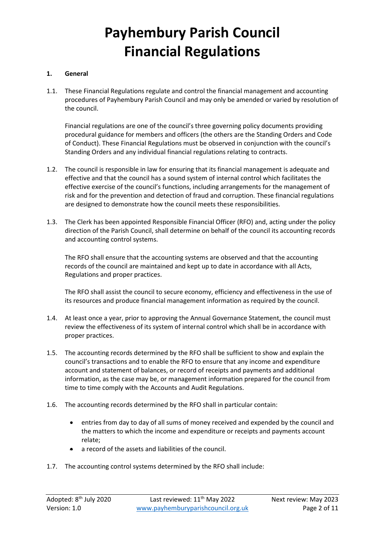### **1. General**

1.1. These Financial Regulations regulate and control the financial management and accounting procedures of Payhembury Parish Council and may only be amended or varied by resolution of the council.

Financial regulations are one of the council's three governing policy documents providing procedural guidance for members and officers (the others are the Standing Orders and Code of Conduct). These Financial Regulations must be observed in conjunction with the council's Standing Orders and any individual financial regulations relating to contracts.

- 1.2. The council is responsible in law for ensuring that its financial management is adequate and effective and that the council has a sound system of internal control which facilitates the effective exercise of the council's functions, including arrangements for the management of risk and for the prevention and detection of fraud and corruption. These financial regulations are designed to demonstrate how the council meets these responsibilities.
- 1.3. The Clerk has been appointed Responsible Financial Officer (RFO) and, acting under the policy direction of the Parish Council, shall determine on behalf of the council its accounting records and accounting control systems.

The RFO shall ensure that the accounting systems are observed and that the accounting records of the council are maintained and kept up to date in accordance with all Acts, Regulations and proper practices.

The RFO shall assist the council to secure economy, efficiency and effectiveness in the use of its resources and produce financial management information as required by the council.

- 1.4. At least once a year, prior to approving the Annual Governance Statement, the council must review the effectiveness of its system of internal control which shall be in accordance with proper practices.
- 1.5. The accounting records determined by the RFO shall be sufficient to show and explain the council's transactions and to enable the RFO to ensure that any income and expenditure account and statement of balances, or record of receipts and payments and additional information, as the case may be, or management information prepared for the council from time to time comply with the Accounts and Audit Regulations.
- 1.6. The accounting records determined by the RFO shall in particular contain:
	- entries from day to day of all sums of money received and expended by the council and the matters to which the income and expenditure or receipts and payments account relate;
	- a record of the assets and liabilities of the council.
- 1.7. The accounting control systems determined by the RFO shall include: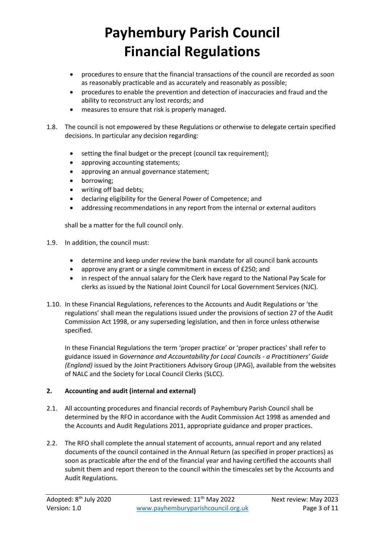- procedures to ensure that the financial transactions of the council are recorded as soon as reasonably practicable and as accurately and reasonably as possible;
- procedures to enable the prevention and detection of inaccuracies and fraud and the ability to reconstruct any lost records; and
- measures to ensure that risk is properly managed.
- 1.8. The council is not empowered by these Regulations or otherwise to delegate certain specified decisions. In particular any decision regarding:
	- setting the final budget or the precept (council tax requirement);
	- approving accounting statements;
	- approving an annual governance statement;
	- borrowing;
	- writing off bad debts;
	- declaring eligibility for the General Power of Competence; and
	- addressing recommendations in any report from the internal or external auditors

shall be a matter for the full council only.

- 1.9. In addition, the council must:
	- determine and keep under review the bank mandate for all council bank accounts
	- approve any grant or a single commitment in excess of £250; and
	- in respect of the annual salary for the Clerk have regard to the National Pay Scale for clerks as issued by the National Joint Council for Local Government Services (NJC).
- 1.10. In these Financial Regulations, references to the Accounts and Audit Regulations or 'the regulations' shall mean the regulations issued under the provisions of section 27 of the Audit Commission Act 1998, or any superseding legislation, and then in force unless otherwise specified.

In these Financial Regulations the term 'proper practice' or 'proper practices' shall refer to guidance issued in *Governance and Accountability for Local Councils - a Practitioners' Guide (England)* issued by the Joint Practitioners Advisory Group (JPAG), available from the websites of NALC and the Society for Local Council Clerks (SLCC).

### **2. Accounting and audit (internal and external)**

- 2.1. All accounting procedures and financial records of Payhembury Parish Council shall be determined by the RFO in accordance with the Audit Commission Act 1998 as amended and the Accounts and Audit Regulations 2011, appropriate guidance and proper practices.
- 2.2. The RFO shall complete the annual statement of accounts, annual report and any related documents of the council contained in the Annual Return (as specified in proper practices) as soon as practicable after the end of the financial year and having certified the accounts shall submit them and report thereon to the council within the timescales set by the Accounts and Audit Regulations.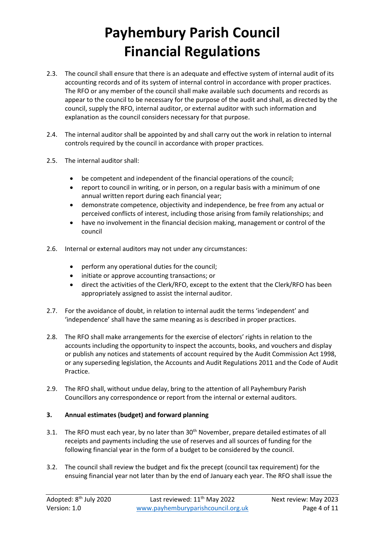- 2.3. The council shall ensure that there is an adequate and effective system of internal audit of its accounting records and of its system of internal control in accordance with proper practices. The RFO or any member of the council shall make available such documents and records as appear to the council to be necessary for the purpose of the audit and shall, as directed by the council, supply the RFO, internal auditor, or external auditor with such information and explanation as the council considers necessary for that purpose.
- 2.4. The internal auditor shall be appointed by and shall carry out the work in relation to internal controls required by the council in accordance with proper practices.
- 2.5. The internal auditor shall:
	- be competent and independent of the financial operations of the council;
	- report to council in writing, or in person, on a regular basis with a minimum of one annual written report during each financial year;
	- demonstrate competence, objectivity and independence, be free from any actual or perceived conflicts of interest, including those arising from family relationships; and
	- have no involvement in the financial decision making, management or control of the council
- 2.6. Internal or external auditors may not under any circumstances:
	- perform any operational duties for the council;
	- initiate or approve accounting transactions; or
	- direct the activities of the Clerk/RFO, except to the extent that the Clerk/RFO has been appropriately assigned to assist the internal auditor.
- 2.7. For the avoidance of doubt, in relation to internal audit the terms 'independent' and 'independence' shall have the same meaning as is described in proper practices.
- 2.8. The RFO shall make arrangements for the exercise of electors' rights in relation to the accounts including the opportunity to inspect the accounts, books, and vouchers and display or publish any notices and statements of account required by the Audit Commission Act 1998, or any superseding legislation, the Accounts and Audit Regulations 2011 and the Code of Audit Practice.
- 2.9. The RFO shall, without undue delay, bring to the attention of all Payhembury Parish Councillors any correspondence or report from the internal or external auditors.

### **3. Annual estimates (budget) and forward planning**

- 3.1. The RFO must each year, by no later than 30<sup>th</sup> November, prepare detailed estimates of all receipts and payments including the use of reserves and all sources of funding for the following financial year in the form of a budget to be considered by the council.
- 3.2. The council shall review the budget and fix the precept (council tax requirement) for the ensuing financial year not later than by the end of January each year. The RFO shall issue the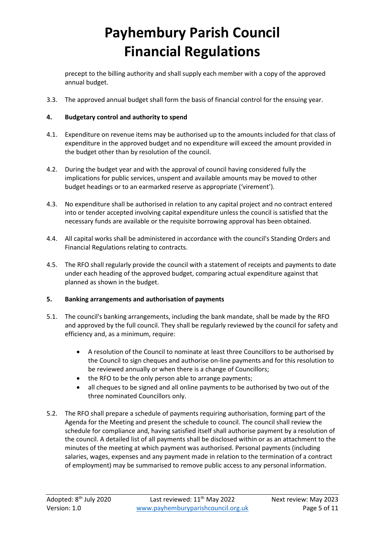precept to the billing authority and shall supply each member with a copy of the approved annual budget.

3.3. The approved annual budget shall form the basis of financial control for the ensuing year.

### **4. Budgetary control and authority to spend**

- 4.1. Expenditure on revenue items may be authorised up to the amounts included for that class of expenditure in the approved budget and no expenditure will exceed the amount provided in the budget other than by resolution of the council.
- 4.2. During the budget year and with the approval of council having considered fully the implications for public services, unspent and available amounts may be moved to other budget headings or to an earmarked reserve as appropriate ('virement').
- 4.3. No expenditure shall be authorised in relation to any capital project and no contract entered into or tender accepted involving capital expenditure unless the council is satisfied that the necessary funds are available or the requisite borrowing approval has been obtained.
- 4.4. All capital works shall be administered in accordance with the council's Standing Orders and Financial Regulations relating to contracts.
- 4.5. The RFO shall regularly provide the council with a statement of receipts and payments to date under each heading of the approved budget, comparing actual expenditure against that planned as shown in the budget.

### **5. Banking arrangements and authorisation of payments**

- 5.1. The council's banking arrangements, including the bank mandate, shall be made by the RFO and approved by the full council. They shall be regularly reviewed by the council for safety and efficiency and, as a minimum, require:
	- A resolution of the Council to nominate at least three Councillors to be authorised by the Council to sign cheques and authorise on-line payments and for this resolution to be reviewed annually or when there is a change of Councillors;
	- the RFO to be the only person able to arrange payments;
	- all cheques to be signed and all online payments to be authorised by two out of the three nominated Councillors only.
- 5.2. The RFO shall prepare a schedule of payments requiring authorisation, forming part of the Agenda for the Meeting and present the schedule to council. The council shall review the schedule for compliance and, having satisfied itself shall authorise payment by a resolution of the council. A detailed list of all payments shall be disclosed within or as an attachment to the minutes of the meeting at which payment was authorised. Personal payments (including salaries, wages, expenses and any payment made in relation to the termination of a contract of employment) may be summarised to remove public access to any personal information.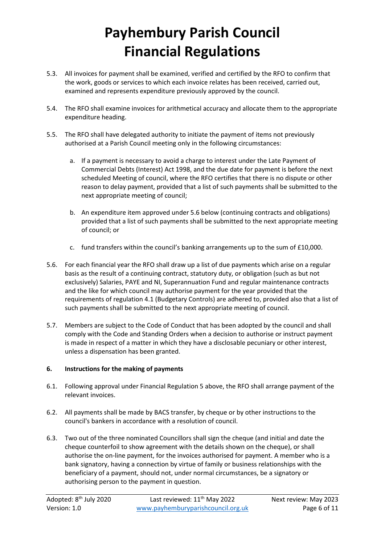- 5.3. All invoices for payment shall be examined, verified and certified by the RFO to confirm that the work, goods or services to which each invoice relates has been received, carried out, examined and represents expenditure previously approved by the council.
- 5.4. The RFO shall examine invoices for arithmetical accuracy and allocate them to the appropriate expenditure heading.
- 5.5. The RFO shall have delegated authority to initiate the payment of items not previously authorised at a Parish Council meeting only in the following circumstances:
	- a. If a payment is necessary to avoid a charge to interest under the Late Payment of Commercial Debts (Interest) Act 1998, and the due date for payment is before the next scheduled Meeting of council, where the RFO certifies that there is no dispute or other reason to delay payment, provided that a list of such payments shall be submitted to the next appropriate meeting of council;
	- b. An expenditure item approved under 5.6 below (continuing contracts and obligations) provided that a list of such payments shall be submitted to the next appropriate meeting of council; or
	- c. fund transfers within the council's banking arrangements up to the sum of £10,000.
- 5.6. For each financial year the RFO shall draw up a list of due payments which arise on a regular basis as the result of a continuing contract, statutory duty, or obligation (such as but not exclusively) Salaries, PAYE and NI, Superannuation Fund and regular maintenance contracts and the like for which council may authorise payment for the year provided that the requirements of regulation 4.1 (Budgetary Controls) are adhered to, provided also that a list of such payments shall be submitted to the next appropriate meeting of council.
- 5.7. Members are subject to the Code of Conduct that has been adopted by the council and shall comply with the Code and Standing Orders when a decision to authorise or instruct payment is made in respect of a matter in which they have a disclosable pecuniary or other interest, unless a dispensation has been granted.

## **6. Instructions for the making of payments**

- 6.1. Following approval under Financial Regulation 5 above, the RFO shall arrange payment of the relevant invoices.
- 6.2. All payments shall be made by BACS transfer, by cheque or by other instructions to the council's bankers in accordance with a resolution of council.
- 6.3. Two out of the three nominated Councillors shall sign the cheque (and initial and date the cheque counterfoil to show agreement with the details shown on the cheque), or shall authorise the on-line payment, for the invoices authorised for payment. A member who is a bank signatory, having a connection by virtue of family or business relationships with the beneficiary of a payment, should not, under normal circumstances, be a signatory or authorising person to the payment in question.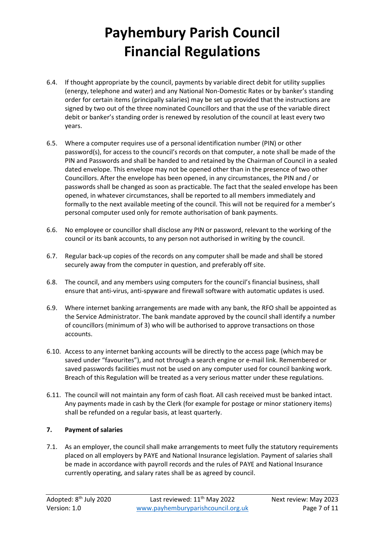- 6.4. If thought appropriate by the council, payments by variable direct debit for utility supplies (energy, telephone and water) and any National Non-Domestic Rates or by banker's standing order for certain items (principally salaries) may be set up provided that the instructions are signed by two out of the three nominated Councillors and that the use of the variable direct debit or banker's standing order is renewed by resolution of the council at least every two years.
- 6.5. Where a computer requires use of a personal identification number (PIN) or other password(s), for access to the council's records on that computer, a note shall be made of the PIN and Passwords and shall be handed to and retained by the Chairman of Council in a sealed dated envelope. This envelope may not be opened other than in the presence of two other Councillors. After the envelope has been opened, in any circumstances, the PIN and / or passwords shall be changed as soon as practicable. The fact that the sealed envelope has been opened, in whatever circumstances, shall be reported to all members immediately and formally to the next available meeting of the council. This will not be required for a member's personal computer used only for remote authorisation of bank payments.
- 6.6. No employee or councillor shall disclose any PIN or password, relevant to the working of the council or its bank accounts, to any person not authorised in writing by the council.
- 6.7. Regular back-up copies of the records on any computer shall be made and shall be stored securely away from the computer in question, and preferably off site.
- 6.8. The council, and any members using computers for the council's financial business, shall ensure that anti-virus, anti-spyware and firewall software with automatic updates is used.
- 6.9. Where internet banking arrangements are made with any bank, the RFO shall be appointed as the Service Administrator. The bank mandate approved by the council shall identify a number of councillors (minimum of 3) who will be authorised to approve transactions on those accounts.
- 6.10. Access to any internet banking accounts will be directly to the access page (which may be saved under "favourites"), and not through a search engine or e-mail link. Remembered or saved passwords facilities must not be used on any computer used for council banking work. Breach of this Regulation will be treated as a very serious matter under these regulations.
- 6.11. The council will not maintain any form of cash float. All cash received must be banked intact. Any payments made in cash by the Clerk (for example for postage or minor stationery items) shall be refunded on a regular basis, at least quarterly.

## **7. Payment of salaries**

7.1. As an employer, the council shall make arrangements to meet fully the statutory requirements placed on all employers by PAYE and National Insurance legislation. Payment of salaries shall be made in accordance with payroll records and the rules of PAYE and National Insurance currently operating, and salary rates shall be as agreed by council.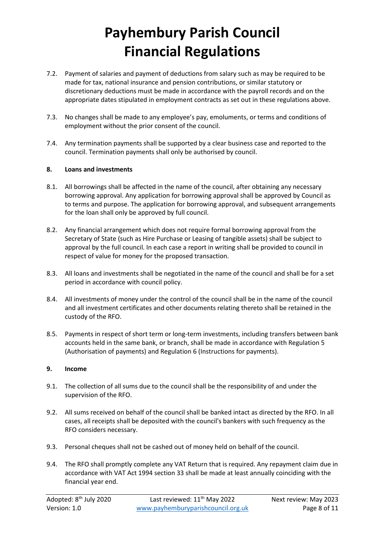- 7.2. Payment of salaries and payment of deductions from salary such as may be required to be made for tax, national insurance and pension contributions, or similar statutory or discretionary deductions must be made in accordance with the payroll records and on the appropriate dates stipulated in employment contracts as set out in these regulations above.
- 7.3. No changes shall be made to any employee's pay, emoluments, or terms and conditions of employment without the prior consent of the council.
- 7.4. Any termination payments shall be supported by a clear business case and reported to the council. Termination payments shall only be authorised by council.

#### **8. Loans and investments**

- 8.1. All borrowings shall be affected in the name of the council, after obtaining any necessary borrowing approval. Any application for borrowing approval shall be approved by Council as to terms and purpose. The application for borrowing approval, and subsequent arrangements for the loan shall only be approved by full council.
- 8.2. Any financial arrangement which does not require formal borrowing approval from the Secretary of State (such as Hire Purchase or Leasing of tangible assets) shall be subject to approval by the full council. In each case a report in writing shall be provided to council in respect of value for money for the proposed transaction.
- 8.3. All loans and investments shall be negotiated in the name of the council and shall be for a set period in accordance with council policy.
- 8.4. All investments of money under the control of the council shall be in the name of the council and all investment certificates and other documents relating thereto shall be retained in the custody of the RFO.
- 8.5. Payments in respect of short term or long-term investments, including transfers between bank accounts held in the same bank, or branch, shall be made in accordance with Regulation 5 (Authorisation of payments) and Regulation 6 (Instructions for payments).

#### **9. Income**

- 9.1. The collection of all sums due to the council shall be the responsibility of and under the supervision of the RFO.
- 9.2. All sums received on behalf of the council shall be banked intact as directed by the RFO. In all cases, all receipts shall be deposited with the council's bankers with such frequency as the RFO considers necessary.
- 9.3. Personal cheques shall not be cashed out of money held on behalf of the council.
- 9.4. The RFO shall promptly complete any VAT Return that is required. Any repayment claim due in accordance with VAT Act 1994 section 33 shall be made at least annually coinciding with the financial year end.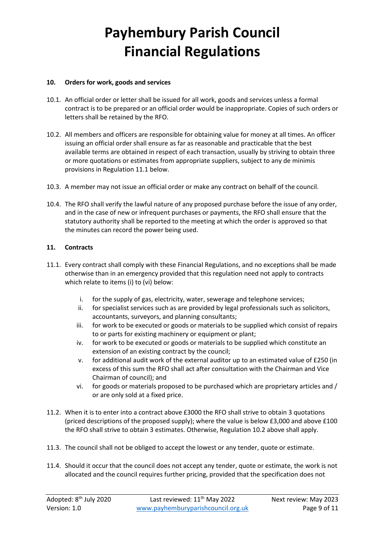#### **10. Orders for work, goods and services**

- 10.1. An official order or letter shall be issued for all work, goods and services unless a formal contract is to be prepared or an official order would be inappropriate. Copies of such orders or letters shall be retained by the RFO.
- 10.2. All members and officers are responsible for obtaining value for money at all times. An officer issuing an official order shall ensure as far as reasonable and practicable that the best available terms are obtained in respect of each transaction, usually by striving to obtain three or more quotations or estimates from appropriate suppliers, subject to any de minimis provisions in Regulation 11.1 below.
- 10.3. A member may not issue an official order or make any contract on behalf of the council.
- 10.4. The RFO shall verify the lawful nature of any proposed purchase before the issue of any order, and in the case of new or infrequent purchases or payments, the RFO shall ensure that the statutory authority shall be reported to the meeting at which the order is approved so that the minutes can record the power being used.

### **11. Contracts**

- 11.1. Every contract shall comply with these Financial Regulations, and no exceptions shall be made otherwise than in an emergency provided that this regulation need not apply to contracts which relate to items (i) to (vi) below:
	- i. for the supply of gas, electricity, water, sewerage and telephone services;
	- ii. for specialist services such as are provided by legal professionals such as solicitors, accountants, surveyors, and planning consultants;
	- iii. for work to be executed or goods or materials to be supplied which consist of repairs to or parts for existing machinery or equipment or plant;
	- iv. for work to be executed or goods or materials to be supplied which constitute an extension of an existing contract by the council;
	- v. for additional audit work of the external auditor up to an estimated value of £250 (in excess of this sum the RFO shall act after consultation with the Chairman and Vice Chairman of council); and
	- vi. for goods or materials proposed to be purchased which are proprietary articles and / or are only sold at a fixed price.
- 11.2. When it is to enter into a contract above £3000 the RFO shall strive to obtain 3 quotations (priced descriptions of the proposed supply); where the value is below £3,000 and above £100 the RFO shall strive to obtain 3 estimates. Otherwise, Regulation 10.2 above shall apply.
- 11.3. The council shall not be obliged to accept the lowest or any tender, quote or estimate.
- 11.4. Should it occur that the council does not accept any tender, quote or estimate, the work is not allocated and the council requires further pricing, provided that the specification does not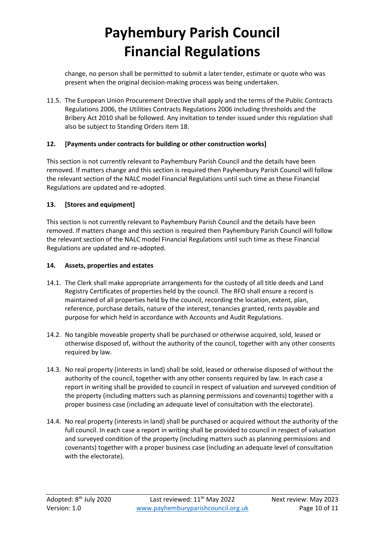change, no person shall be permitted to submit a later tender, estimate or quote who was present when the original decision-making process was being undertaken.

11.5. The European Union Procurement Directive shall apply and the terms of the Public Contracts Regulations 2006, the Utilities Contracts Regulations 2006 including thresholds and the Bribery Act 2010 shall be followed. Any invitation to tender issued under this regulation shall also be subject to Standing Orders item 18.

### **12. [Payments under contracts for building or other construction works]**

This section is not currently relevant to Payhembury Parish Council and the details have been removed. If matters change and this section is required then Payhembury Parish Council will follow the relevant section of the NALC model Financial Regulations until such time as these Financial Regulations are updated and re-adopted.

### **13. [Stores and equipment]**

This section is not currently relevant to Payhembury Parish Council and the details have been removed. If matters change and this section is required then Payhembury Parish Council will follow the relevant section of the NALC model Financial Regulations until such time as these Financial Regulations are updated and re-adopted.

### **14. Assets, properties and estates**

- 14.1. The Clerk shall make appropriate arrangements for the custody of all title deeds and Land Registry Certificates of properties held by the council. The RFO shall ensure a record is maintained of all properties held by the council, recording the location, extent, plan, reference, purchase details, nature of the interest, tenancies granted, rents payable and purpose for which held in accordance with Accounts and Audit Regulations.
- 14.2. No tangible moveable property shall be purchased or otherwise acquired, sold, leased or otherwise disposed of, without the authority of the council, together with any other consents required by law.
- 14.3. No real property (interests in land) shall be sold, leased or otherwise disposed of without the authority of the council, together with any other consents required by law. In each case a report in writing shall be provided to council in respect of valuation and surveyed condition of the property (including matters such as planning permissions and covenants) together with a proper business case (including an adequate level of consultation with the electorate).
- 14.4. No real property (interests in land) shall be purchased or acquired without the authority of the full council. In each case a report in writing shall be provided to council in respect of valuation and surveyed condition of the property (including matters such as planning permissions and covenants) together with a proper business case (including an adequate level of consultation with the electorate).